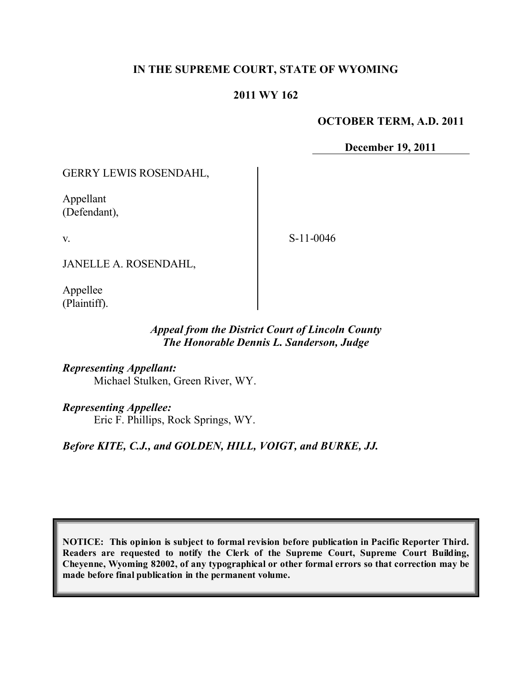## **IN THE SUPREME COURT, STATE OF WYOMING**

### **2011 WY 162**

### **OCTOBER TERM, A.D. 2011**

**December 19, 2011**

GERRY LEWIS ROSENDAHL,

Appellant (Defendant),

v.

S-11-0046

JANELLE A. ROSENDAHL,

Appellee (Plaintiff).

## *Appeal from the District Court of Lincoln County The Honorable Dennis L. Sanderson, Judge*

*Representing Appellant:* Michael Stulken, Green River, WY.

*Representing Appellee:*

Eric F. Phillips, Rock Springs, WY.

*Before KITE, C.J., and GOLDEN, HILL, VOIGT, and BURKE, JJ.*

**NOTICE: This opinion is subject to formal revision before publication in Pacific Reporter Third. Readers are requested to notify the Clerk of the Supreme Court, Supreme Court Building, Cheyenne, Wyoming 82002, of any typographical or other formal errors so that correction may be made before final publication in the permanent volume.**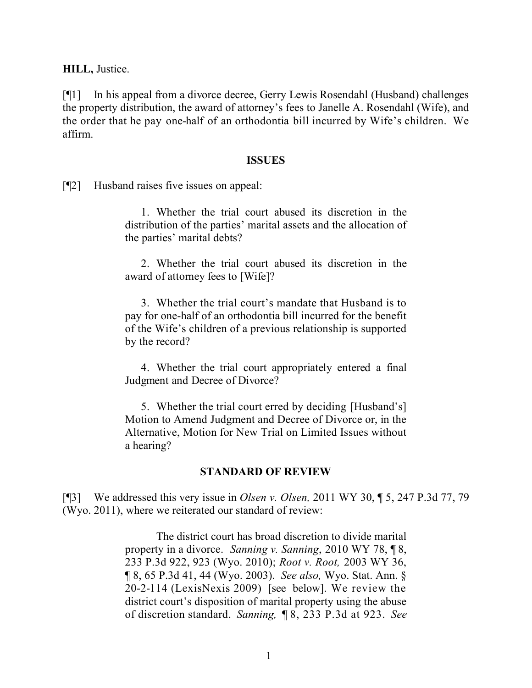**HILL,** Justice.

[¶1] In his appeal from a divorce decree, Gerry Lewis Rosendahl (Husband) challenges the property distribution, the award of attorney's fees to Janelle A. Rosendahl (Wife), and the order that he pay one-half of an orthodontia bill incurred by Wife's children. We affirm.

#### **ISSUES**

[¶2] Husband raises five issues on appeal:

1. Whether the trial court abused its discretion in the distribution of the parties' marital assets and the allocation of the parties' marital debts?

2. Whether the trial court abused its discretion in the award of attorney fees to [Wife]?

3. Whether the trial court's mandate that Husband is to pay for one-half of an orthodontia bill incurred for the benefit of the Wife's children of a previous relationship is supported by the record?

4. Whether the trial court appropriately entered a final Judgment and Decree of Divorce?

5. Whether the trial court erred by deciding [Husband's] Motion to Amend Judgment and Decree of Divorce or, in the Alternative, Motion for New Trial on Limited Issues without a hearing?

#### **STANDARD OF REVIEW**

[¶3] We addressed this very issue in *Olsen v. Olsen,* 2011 WY 30, ¶ 5, 247 P.3d 77, 79 (Wyo. 2011), where we reiterated our standard of review:

> The district court has broad discretion to divide marital property in a divorce. *Sanning v. Sanning*, 2010 WY 78, ¶ 8, 233 P.3d 922, 923 (Wyo. 2010); *Root v. Root,* 2003 WY 36, ¶ 8, 65 P.3d 41, 44 (Wyo. 2003). *See also,* Wyo. Stat. Ann. § 20-2-114 (LexisNexis 2009) [see below]. We review the district court's disposition of marital property using the abuse of discretion standard. *Sanning,* ¶ 8, 233 P.3d at 923. *See*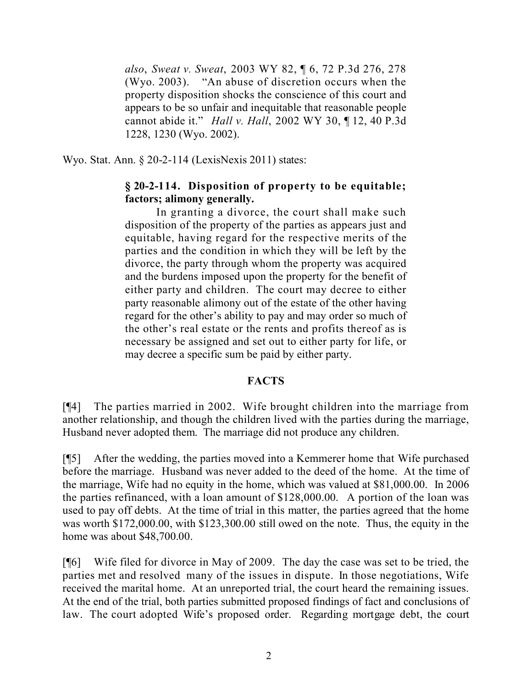*also*, *Sweat v. Sweat*, 2003 WY 82, ¶ 6, 72 P.3d 276, 278 (Wyo. 2003). "An abuse of discretion occurs when the property disposition shocks the conscience of this court and appears to be so unfair and inequitable that reasonable people cannot abide it." *Hall v. Hall*, 2002 WY 30, ¶ 12, 40 P.3d 1228, 1230 (Wyo. 2002).

Wyo. Stat. Ann. § 20-2-114 (LexisNexis 2011) states:

# **§ 20-2-114. Disposition of property to be equitable; factors; alimony generally.**

In granting a divorce, the court shall make such disposition of the property of the parties as appears just and equitable, having regard for the respective merits of the parties and the condition in which they will be left by the divorce, the party through whom the property was acquired and the burdens imposed upon the property for the benefit of either party and children. The court may decree to either party reasonable alimony out of the estate of the other having regard for the other's ability to pay and may order so much of the other's real estate or the rents and profits thereof as is necessary be assigned and set out to either party for life, or may decree a specific sum be paid by either party.

## **FACTS**

[¶4] The parties married in 2002. Wife brought children into the marriage from another relationship, and though the children lived with the parties during the marriage, Husband never adopted them. The marriage did not produce any children.

[¶5] After the wedding, the parties moved into a Kemmerer home that Wife purchased before the marriage. Husband was never added to the deed of the home. At the time of the marriage, Wife had no equity in the home, which was valued at \$81,000.00. In 2006 the parties refinanced, with a loan amount of \$128,000.00. A portion of the loan was used to pay off debts. At the time of trial in this matter, the parties agreed that the home was worth \$172,000.00, with \$123,300.00 still owed on the note. Thus, the equity in the home was about \$48,700.00.

[¶6] Wife filed for divorce in May of 2009. The day the case was set to be tried, the parties met and resolved many of the issues in dispute. In those negotiations, Wife received the marital home. At an unreported trial, the court heard the remaining issues. At the end of the trial, both parties submitted proposed findings of fact and conclusions of law. The court adopted Wife's proposed order. Regarding mortgage debt, the court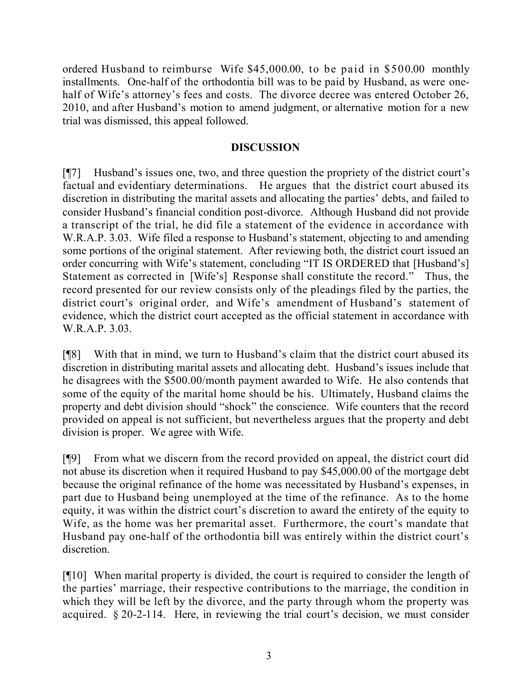ordered Husband to reimburse Wife \$45,000.00, to be paid in \$500.00 monthly installments. One-half of the orthodontia bill was to be paid by Husband, as were onehalf of Wife's attorney's fees and costs. The divorce decree was entered October 26, 2010, and after Husband's motion to amend judgment, or alternative motion for a new trial was dismissed, this appeal followed.

## **DISCUSSION**

[¶7] Husband's issues one, two, and three question the propriety of the district court's factual and evidentiary determinations. He argues that the district court abused its discretion in distributing the marital assets and allocating the parties' debts, and failed to consider Husband's financial condition post-divorce. Although Husband did not provide a transcript of the trial, he did file a statement of the evidence in accordance with W.R.A.P. 3.03. Wife filed a response to Husband's statement, objecting to and amending some portions of the original statement. After reviewing both, the district court issued an order concurring with Wife's statement, concluding "IT IS ORDERED that [Husband's] Statement as corrected in [Wife's] Response shall constitute the record." Thus, the record presented for our review consists only of the pleadings filed by the parties, the district court's original order, and Wife's amendment of Husband's statement of evidence, which the district court accepted as the official statement in accordance with W.R.A.P. 3.03.

[¶8] With that in mind, we turn to Husband's claim that the district court abused its discretion in distributing marital assets and allocating debt. Husband's issues include that he disagrees with the \$500.00/month payment awarded to Wife. He also contends that some of the equity of the marital home should be his. Ultimately, Husband claims the property and debt division should "shock" the conscience. Wife counters that the record provided on appeal is not sufficient, but nevertheless argues that the property and debt division is proper. We agree with Wife.

[¶9] From what we discern from the record provided on appeal, the district court did not abuse its discretion when it required Husband to pay \$45,000.00 of the mortgage debt because the original refinance of the home was necessitated by Husband's expenses, in part due to Husband being unemployed at the time of the refinance. As to the home equity, it was within the district court's discretion to award the entirety of the equity to Wife, as the home was her premarital asset. Furthermore, the court's mandate that Husband pay one-half of the orthodontia bill was entirely within the district court's discretion.

[¶10] When marital property is divided, the court is required to consider the length of the parties' marriage, their respective contributions to the marriage, the condition in which they will be left by the divorce, and the party through whom the property was acquired. § 20-2-114. Here, in reviewing the trial court's decision, we must consider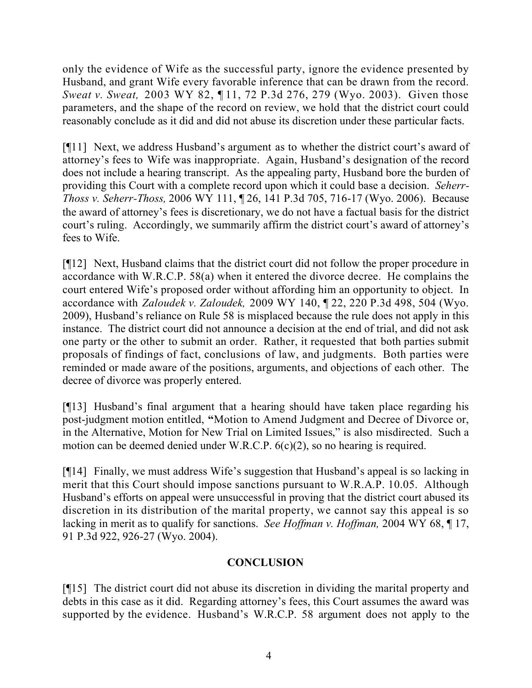only the evidence of Wife as the successful party, ignore the evidence presented by Husband, and grant Wife every favorable inference that can be drawn from the record. *Sweat v. Sweat,* 2003 WY 82, ¶ 11, 72 P.3d 276, 279 (Wyo. 2003). Given those parameters, and the shape of the record on review, we hold that the district court could reasonably conclude as it did and did not abuse its discretion under these particular facts.

[¶11] Next, we address Husband's argument as to whether the district court's award of attorney's fees to Wife was inappropriate. Again, Husband's designation of the record does not include a hearing transcript. As the appealing party, Husband bore the burden of providing this Court with a complete record upon which it could base a decision. *Seherr-Thoss v. Seherr-Thoss,* 2006 WY 111, ¶ 26, 141 P.3d 705, 716-17 (Wyo. 2006). Because the award of attorney's fees is discretionary, we do not have a factual basis for the district court's ruling. Accordingly, we summarily affirm the district court's award of attorney's fees to Wife.

[¶12] Next, Husband claims that the district court did not follow the proper procedure in accordance with W.R.C.P. 58(a) when it entered the divorce decree. He complains the court entered Wife's proposed order without affording him an opportunity to object. In accordance with *Zaloudek v. Zaloudek,* 2009 WY 140, ¶ 22, 220 P.3d 498, 504 (Wyo. 2009), Husband's reliance on Rule 58 is misplaced because the rule does not apply in this instance. The district court did not announce a decision at the end of trial, and did not ask one party or the other to submit an order. Rather, it requested that both parties submit proposals of findings of fact, conclusions of law, and judgments. Both parties were reminded or made aware of the positions, arguments, and objections of each other. The decree of divorce was properly entered.

[¶13] Husband's final argument that a hearing should have taken place regarding his post-judgment motion entitled, **"**Motion to Amend Judgment and Decree of Divorce or, in the Alternative, Motion for New Trial on Limited Issues," is also misdirected. Such a motion can be deemed denied under W.R.C.P. 6(c)(2), so no hearing is required.

[¶14] Finally, we must address Wife's suggestion that Husband's appeal is so lacking in merit that this Court should impose sanctions pursuant to W.R.A.P. 10.05. Although Husband's efforts on appeal were unsuccessful in proving that the district court abused its discretion in its distribution of the marital property, we cannot say this appeal is so lacking in merit as to qualify for sanctions. *See Hoffman v. Hoffman,* 2004 WY 68, ¶ 17, 91 P.3d 922, 926-27 (Wyo. 2004).

# **CONCLUSION**

[¶15] The district court did not abuse its discretion in dividing the marital property and debts in this case as it did. Regarding attorney's fees, this Court assumes the award was supported by the evidence. Husband's W.R.C.P. 58 argument does not apply to the